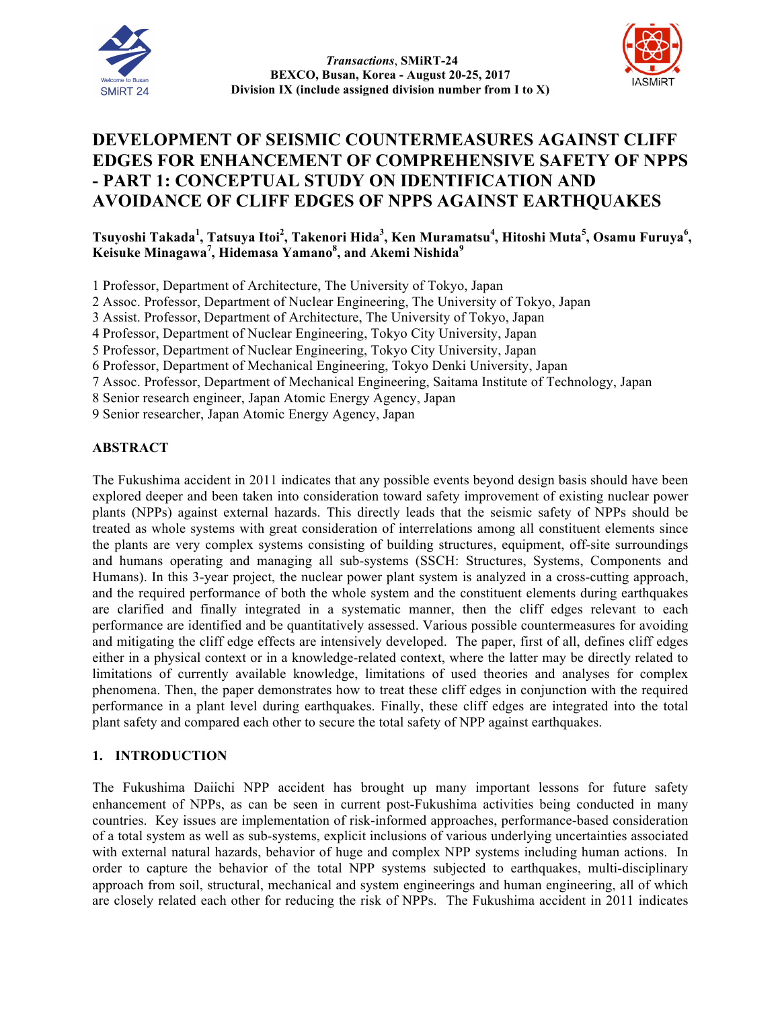



# **DEVELOPMENT OF SEISMIC COUNTERMEASURES AGAINST CLIFF EDGES FOR ENHANCEMENT OF COMPREHENSIVE SAFETY OF NPPS - PART 1: CONCEPTUAL STUDY ON IDENTIFICATION AND AVOIDANCE OF CLIFF EDGES OF NPPS AGAINST EARTHQUAKES**

**Tsuyoshi Takada<sup>1</sup> , Tatsuya Itoi<sup>2</sup> , Takenori Hida<sup>3</sup> , Ken Muramatsu<sup>4</sup> , Hitoshi Muta<sup>5</sup> , Osamu Furuya<sup>6</sup> , Keisuke Minagawa<sup>7</sup> , Hidemasa Yamano<sup>8</sup> , and Akemi Nishida<sup>9</sup>**

1 Professor, Department of Architecture, The University of Tokyo, Japan

2 Assoc. Professor, Department of Nuclear Engineering, The University of Tokyo, Japan

3 Assist. Professor, Department of Architecture, The University of Tokyo, Japan

4 Professor, Department of Nuclear Engineering, Tokyo City University, Japan

5 Professor, Department of Nuclear Engineering, Tokyo City University, Japan

6 Professor, Department of Mechanical Engineering, Tokyo Denki University, Japan

7 Assoc. Professor, Department of Mechanical Engineering, Saitama Institute of Technology, Japan

8 Senior research engineer, Japan Atomic Energy Agency, Japan

9 Senior researcher, Japan Atomic Energy Agency, Japan

#### **ABSTRACT**

The Fukushima accident in 2011 indicates that any possible events beyond design basis should have been explored deeper and been taken into consideration toward safety improvement of existing nuclear power plants (NPPs) against external hazards. This directly leads that the seismic safety of NPPs should be treated as whole systems with great consideration of interrelations among all constituent elements since the plants are very complex systems consisting of building structures, equipment, off-site surroundings and humans operating and managing all sub-systems (SSCH: Structures, Systems, Components and Humans). In this 3-year project, the nuclear power plant system is analyzed in a cross-cutting approach, and the required performance of both the whole system and the constituent elements during earthquakes are clarified and finally integrated in a systematic manner, then the cliff edges relevant to each performance are identified and be quantitatively assessed. Various possible countermeasures for avoiding and mitigating the cliff edge effects are intensively developed. The paper, first of all, defines cliff edges either in a physical context or in a knowledge-related context, where the latter may be directly related to limitations of currently available knowledge, limitations of used theories and analyses for complex phenomena. Then, the paper demonstrates how to treat these cliff edges in conjunction with the required performance in a plant level during earthquakes. Finally, these cliff edges are integrated into the total plant safety and compared each other to secure the total safety of NPP against earthquakes.

## **1. INTRODUCTION**

The Fukushima Daiichi NPP accident has brought up many important lessons for future safety enhancement of NPPs, as can be seen in current post-Fukushima activities being conducted in many countries. Key issues are implementation of risk-informed approaches, performance-based consideration of a total system as well as sub-systems, explicit inclusions of various underlying uncertainties associated with external natural hazards, behavior of huge and complex NPP systems including human actions. In order to capture the behavior of the total NPP systems subjected to earthquakes, multi-disciplinary approach from soil, structural, mechanical and system engineerings and human engineering, all of which are closely related each other for reducing the risk of NPPs. The Fukushima accident in 2011 indicates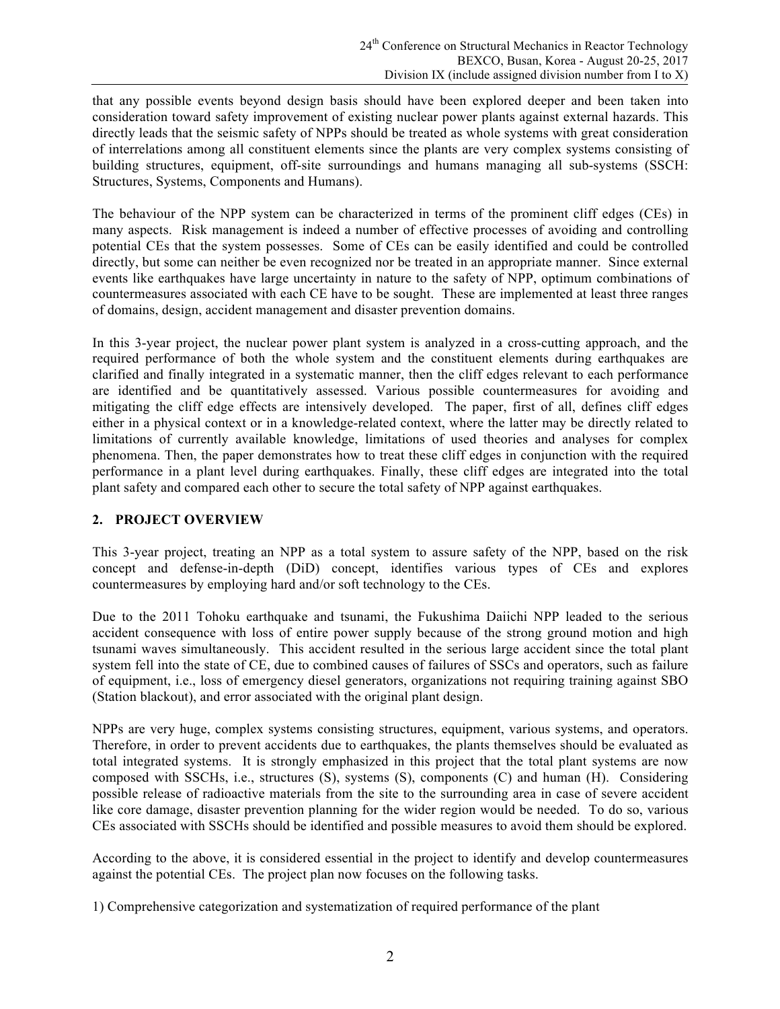that any possible events beyond design basis should have been explored deeper and been taken into consideration toward safety improvement of existing nuclear power plants against external hazards. This directly leads that the seismic safety of NPPs should be treated as whole systems with great consideration of interrelations among all constituent elements since the plants are very complex systems consisting of building structures, equipment, off-site surroundings and humans managing all sub-systems (SSCH: Structures, Systems, Components and Humans).

The behaviour of the NPP system can be characterized in terms of the prominent cliff edges (CEs) in many aspects. Risk management is indeed a number of effective processes of avoiding and controlling potential CEs that the system possesses. Some of CEs can be easily identified and could be controlled directly, but some can neither be even recognized nor be treated in an appropriate manner. Since external events like earthquakes have large uncertainty in nature to the safety of NPP, optimum combinations of countermeasures associated with each CE have to be sought. These are implemented at least three ranges of domains, design, accident management and disaster prevention domains.

In this 3-year project, the nuclear power plant system is analyzed in a cross-cutting approach, and the required performance of both the whole system and the constituent elements during earthquakes are clarified and finally integrated in a systematic manner, then the cliff edges relevant to each performance are identified and be quantitatively assessed. Various possible countermeasures for avoiding and mitigating the cliff edge effects are intensively developed. The paper, first of all, defines cliff edges either in a physical context or in a knowledge-related context, where the latter may be directly related to limitations of currently available knowledge, limitations of used theories and analyses for complex phenomena. Then, the paper demonstrates how to treat these cliff edges in conjunction with the required performance in a plant level during earthquakes. Finally, these cliff edges are integrated into the total plant safety and compared each other to secure the total safety of NPP against earthquakes.

#### **2. PROJECT OVERVIEW**

This 3-year project, treating an NPP as a total system to assure safety of the NPP, based on the risk concept and defense-in-depth (DiD) concept, identifies various types of CEs and explores countermeasures by employing hard and/or soft technology to the CEs.

Due to the 2011 Tohoku earthquake and tsunami, the Fukushima Daiichi NPP leaded to the serious accident consequence with loss of entire power supply because of the strong ground motion and high tsunami waves simultaneously. This accident resulted in the serious large accident since the total plant system fell into the state of CE, due to combined causes of failures of SSCs and operators, such as failure of equipment, i.e., loss of emergency diesel generators, organizations not requiring training against SBO (Station blackout), and error associated with the original plant design.

NPPs are very huge, complex systems consisting structures, equipment, various systems, and operators. Therefore, in order to prevent accidents due to earthquakes, the plants themselves should be evaluated as total integrated systems. It is strongly emphasized in this project that the total plant systems are now composed with SSCHs, i.e., structures (S), systems (S), components (C) and human (H). Considering possible release of radioactive materials from the site to the surrounding area in case of severe accident like core damage, disaster prevention planning for the wider region would be needed. To do so, various CEs associated with SSCHs should be identified and possible measures to avoid them should be explored.

According to the above, it is considered essential in the project to identify and develop countermeasures against the potential CEs. The project plan now focuses on the following tasks.

1) Comprehensive categorization and systematization of required performance of the plant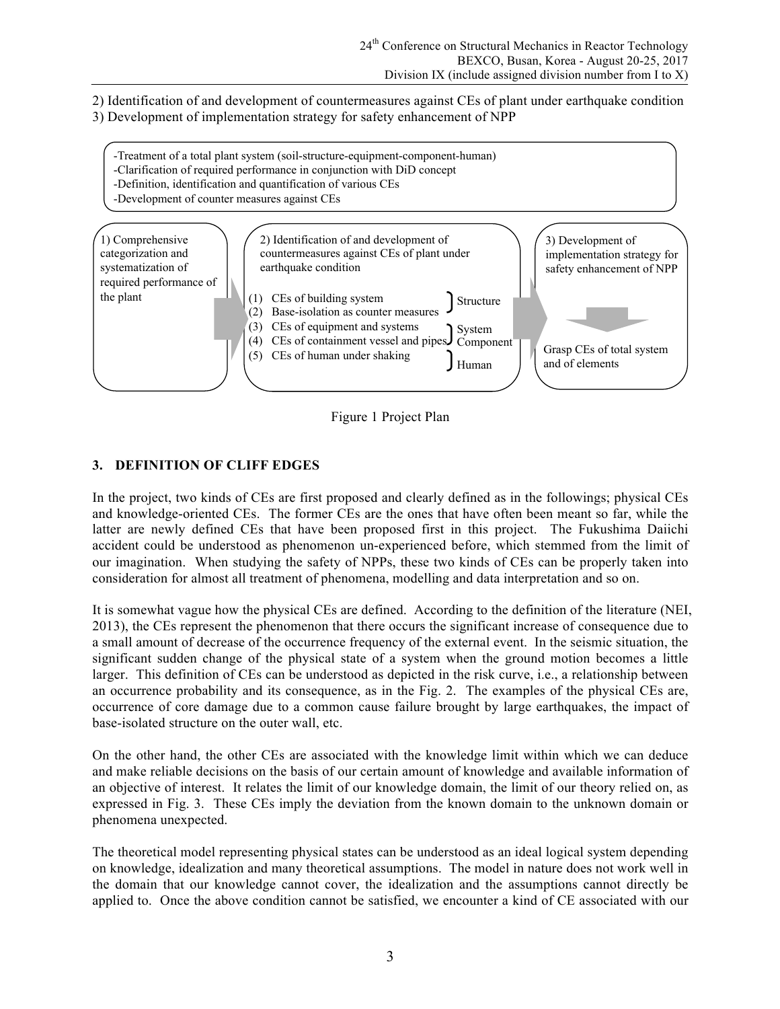2) Identification of and development of countermeasures against CEs of plant under earthquake condition

3) Development of implementation strategy for safety enhancement of NPP



Figure 1 Project Plan

# **3. DEFINITION OF CLIFF EDGES**

In the project, two kinds of CEs are first proposed and clearly defined as in the followings; physical CEs and knowledge-oriented CEs. The former CEs are the ones that have often been meant so far, while the latter are newly defined CEs that have been proposed first in this project. The Fukushima Daiichi accident could be understood as phenomenon un-experienced before, which stemmed from the limit of our imagination. When studying the safety of NPPs, these two kinds of CEs can be properly taken into consideration for almost all treatment of phenomena, modelling and data interpretation and so on.

It is somewhat vague how the physical CEs are defined. According to the definition of the literature (NEI, 2013), the CEs represent the phenomenon that there occurs the significant increase of consequence due to a small amount of decrease of the occurrence frequency of the external event. In the seismic situation, the significant sudden change of the physical state of a system when the ground motion becomes a little larger. This definition of CEs can be understood as depicted in the risk curve, i.e., a relationship between an occurrence probability and its consequence, as in the Fig. 2. The examples of the physical CEs are, occurrence of core damage due to a common cause failure brought by large earthquakes, the impact of base-isolated structure on the outer wall, etc.

On the other hand, the other CEs are associated with the knowledge limit within which we can deduce and make reliable decisions on the basis of our certain amount of knowledge and available information of an objective of interest. It relates the limit of our knowledge domain, the limit of our theory relied on, as expressed in Fig. 3. These CEs imply the deviation from the known domain to the unknown domain or phenomena unexpected.

The theoretical model representing physical states can be understood as an ideal logical system depending on knowledge, idealization and many theoretical assumptions. The model in nature does not work well in the domain that our knowledge cannot cover, the idealization and the assumptions cannot directly be applied to. Once the above condition cannot be satisfied, we encounter a kind of CE associated with our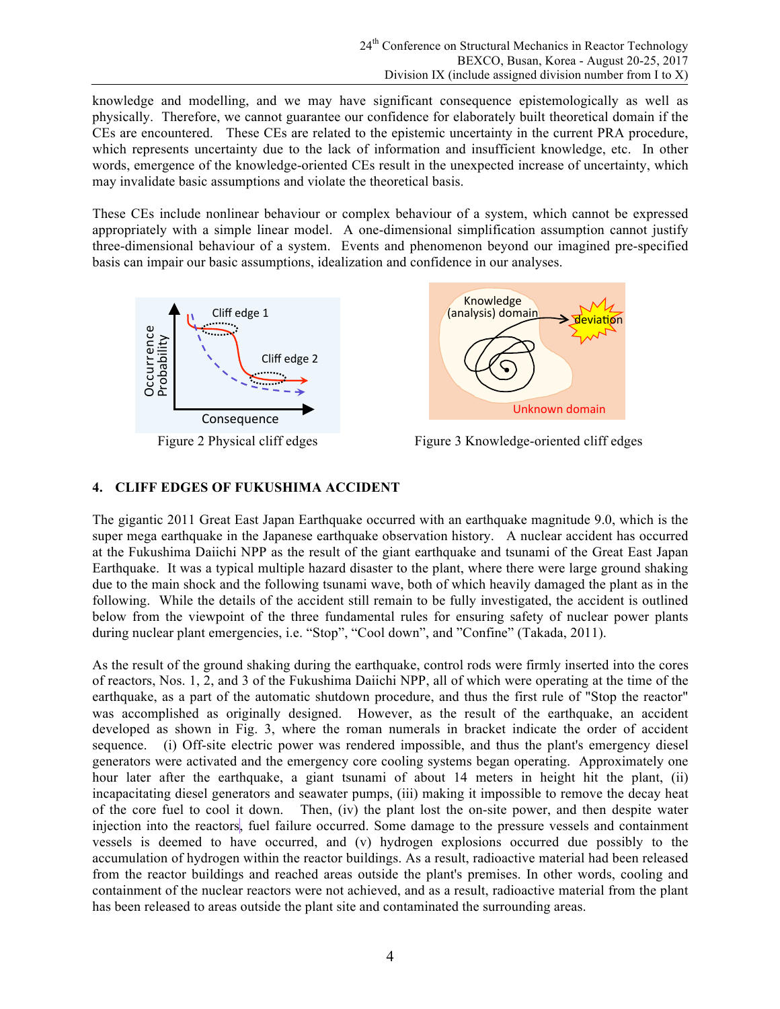knowledge and modelling, and we may have significant consequence epistemologically as well as physically. Therefore, we cannot guarantee our confidence for elaborately built theoretical domain if the CEs are encountered. These CEs are related to the epistemic uncertainty in the current PRA procedure, which represents uncertainty due to the lack of information and insufficient knowledge, etc. In other words, emergence of the knowledge-oriented CEs result in the unexpected increase of uncertainty, which may invalidate basic assumptions and violate the theoretical basis.

These CEs include nonlinear behaviour or complex behaviour of a system, which cannot be expressed appropriately with a simple linear model. A one-dimensional simplification assumption cannot justify three-dimensional behaviour of a system. Events and phenomenon beyond our imagined pre-specified basis can impair our basic assumptions, idealization and confidence in our analyses.





Figure 2 Physical cliff edges Figure 3 Knowledge-oriented cliff edges

# **4. CLIFF EDGES OF FUKUSHIMA ACCIDENT**

The gigantic 2011 Great East Japan Earthquake occurred with an earthquake magnitude 9.0, which is the super mega earthquake in the Japanese earthquake observation history. A nuclear accident has occurred at the Fukushima Daiichi NPP as the result of the giant earthquake and tsunami of the Great East Japan Earthquake. It was a typical multiple hazard disaster to the plant, where there were large ground shaking due to the main shock and the following tsunami wave, both of which heavily damaged the plant as in the following. While the details of the accident still remain to be fully investigated, the accident is outlined below from the viewpoint of the three fundamental rules for ensuring safety of nuclear power plants during nuclear plant emergencies, i.e. "Stop", "Cool down", and "Confine" (Takada, 2011).

As the result of the ground shaking during the earthquake, control rods were firmly inserted into the cores of reactors, Nos. 1, 2, and 3 of the Fukushima Daiichi NPP, all of which were operating at the time of the earthquake, as a part of the automatic shutdown procedure, and thus the first rule of "Stop the reactor" was accomplished as originally designed. However, as the result of the earthquake, an accident developed as shown in Fig. 3, where the roman numerals in bracket indicate the order of accident sequence. (i) Off-site electric power was rendered impossible, and thus the plant's emergency diesel generators were activated and the emergency core cooling systems began operating. Approximately one hour later after the earthquake, a giant tsunami of about 14 meters in height hit the plant, (ii) incapacitating diesel generators and seawater pumps, (iii) making it impossible to remove the decay heat of the core fuel to cool it down. Then, (iv) the plant lost the on-site power, and then despite water injection into the reactors, fuel failure occurred. Some damage to the pressure vessels and containment vessels is deemed to have occurred, and (v) hydrogen explosions occurred due possibly to the accumulation of hydrogen within the reactor buildings. As a result, radioactive material had been released from the reactor buildings and reached areas outside the plant's premises. In other words, cooling and containment of the nuclear reactors were not achieved, and as a result, radioactive material from the plant has been released to areas outside the plant site and contaminated the surrounding areas.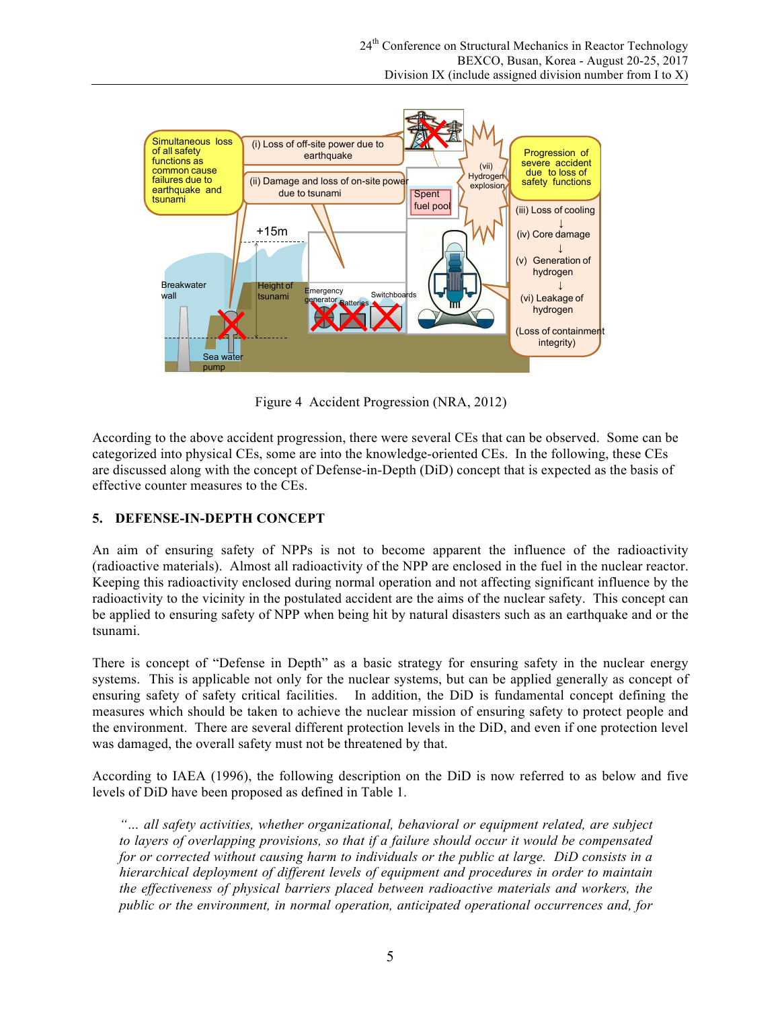

Figure 4 Accident Progression (NRA, 2012)

According to the above accident progression, there were several CEs that can be observed. Some can be categorized into physical CEs, some are into the knowledge-oriented CEs. In the following, these CEs are discussed along with the concept of Defense-in-Depth (DiD) concept that is expected as the basis of effective counter measures to the CEs.

## **5. DEFENSE-IN-DEPTH CONCEPT**

An aim of ensuring safety of NPPs is not to become apparent the influence of the radioactivity (radioactive materials). Almost all radioactivity of the NPP are enclosed in the fuel in the nuclear reactor. Keeping this radioactivity enclosed during normal operation and not affecting significant influence by the radioactivity to the vicinity in the postulated accident are the aims of the nuclear safety. This concept can be applied to ensuring safety of NPP when being hit by natural disasters such as an earthquake and or the tsunami.

There is concept of "Defense in Depth" as a basic strategy for ensuring safety in the nuclear energy systems. This is applicable not only for the nuclear systems, but can be applied generally as concept of ensuring safety of safety critical facilities. In addition, the DiD is fundamental concept defining the measures which should be taken to achieve the nuclear mission of ensuring safety to protect people and the environment. There are several different protection levels in the DiD, and even if one protection level was damaged, the overall safety must not be threatened by that.

According to IAEA (1996), the following description on the DiD is now referred to as below and five levels of DiD have been proposed as defined in Table 1.

*"… all safety activities, whether organizational, behavioral or equipment related, are subject to layers of overlapping provisions, so that if a failure should occur it would be compensated for or corrected without causing harm to individuals or the public at large. DiD consists in a hierarchical deployment of different levels of equipment and procedures in order to maintain the effectiveness of physical barriers placed between radioactive materials and workers, the public or the environment, in normal operation, anticipated operational occurrences and, for*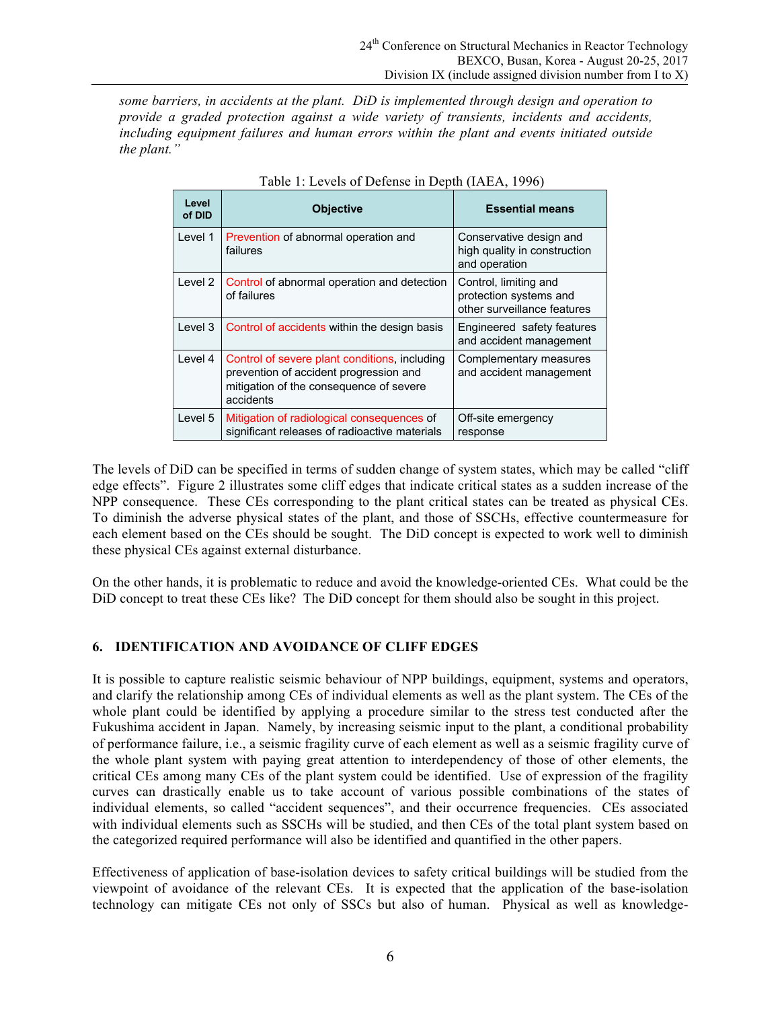*some barriers, in accidents at the plant. DiD is implemented through design and operation to provide a graded protection against a wide variety of transients, incidents and accidents, including equipment failures and human errors within the plant and events initiated outside the plant."*

| Level<br>of DID | <b>Objective</b>                                                                                                                                | <b>Essential means</b>                                                         |
|-----------------|-------------------------------------------------------------------------------------------------------------------------------------------------|--------------------------------------------------------------------------------|
| Level 1         | Prevention of abnormal operation and<br>failures                                                                                                | Conservative design and<br>high quality in construction<br>and operation       |
| Level 2         | Control of abnormal operation and detection<br>of failures                                                                                      | Control, limiting and<br>protection systems and<br>other surveillance features |
| Level 3         | Control of accidents within the design basis                                                                                                    | Engineered safety features<br>and accident management                          |
| Level 4         | Control of severe plant conditions, including<br>prevention of accident progression and<br>mitigation of the consequence of severe<br>accidents | Complementary measures<br>and accident management                              |
| Level 5         | Mitigation of radiological consequences of<br>significant releases of radioactive materials                                                     | Off-site emergency<br>response                                                 |

Table 1: Levels of Defense in Depth (IAEA, 1996)

The levels of DiD can be specified in terms of sudden change of system states, which may be called "cliff edge effects". Figure 2 illustrates some cliff edges that indicate critical states as a sudden increase of the NPP consequence. These CEs corresponding to the plant critical states can be treated as physical CEs. To diminish the adverse physical states of the plant, and those of SSCHs, effective countermeasure for each element based on the CEs should be sought. The DiD concept is expected to work well to diminish these physical CEs against external disturbance.

On the other hands, it is problematic to reduce and avoid the knowledge-oriented CEs. What could be the DiD concept to treat these CEs like? The DiD concept for them should also be sought in this project.

## **6. IDENTIFICATION AND AVOIDANCE OF CLIFF EDGES**

It is possible to capture realistic seismic behaviour of NPP buildings, equipment, systems and operators, and clarify the relationship among CEs of individual elements as well as the plant system. The CEs of the whole plant could be identified by applying a procedure similar to the stress test conducted after the Fukushima accident in Japan. Namely, by increasing seismic input to the plant, a conditional probability of performance failure, i.e., a seismic fragility curve of each element as well as a seismic fragility curve of the whole plant system with paying great attention to interdependency of those of other elements, the critical CEs among many CEs of the plant system could be identified. Use of expression of the fragility curves can drastically enable us to take account of various possible combinations of the states of individual elements, so called "accident sequences", and their occurrence frequencies. CEs associated with individual elements such as SSCHs will be studied, and then CEs of the total plant system based on the categorized required performance will also be identified and quantified in the other papers.

Effectiveness of application of base-isolation devices to safety critical buildings will be studied from the viewpoint of avoidance of the relevant CEs. It is expected that the application of the base-isolation technology can mitigate CEs not only of SSCs but also of human. Physical as well as knowledge-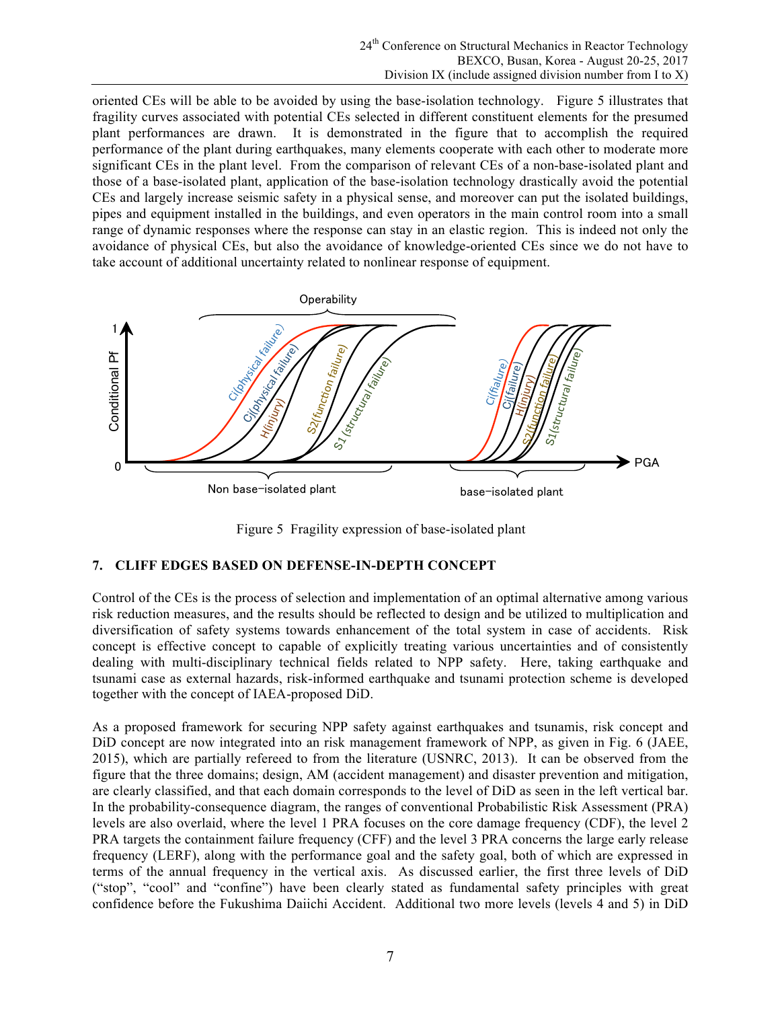oriented CEs will be able to be avoided by using the base-isolation technology. Figure 5 illustrates that fragility curves associated with potential CEs selected in different constituent elements for the presumed plant performances are drawn. It is demonstrated in the figure that to accomplish the required performance of the plant during earthquakes, many elements cooperate with each other to moderate more significant CEs in the plant level. From the comparison of relevant CEs of a non-base-isolated plant and those of a base-isolated plant, application of the base-isolation technology drastically avoid the potential CEs and largely increase seismic safety in a physical sense, and moreover can put the isolated buildings, pipes and equipment installed in the buildings, and even operators in the main control room into a small range of dynamic responses where the response can stay in an elastic region. This is indeed not only the avoidance of physical CEs, but also the avoidance of knowledge-oriented CEs since we do not have to take account of additional uncertainty related to nonlinear response of equipment.



Figure 5 Fragility expression of base-isolated plant

## **7. CLIFF EDGES BASED ON DEFENSE-IN-DEPTH CONCEPT**

Control of the CEs is the process of selection and implementation of an optimal alternative among various risk reduction measures, and the results should be reflected to design and be utilized to multiplication and diversification of safety systems towards enhancement of the total system in case of accidents. Risk concept is effective concept to capable of explicitly treating various uncertainties and of consistently dealing with multi-disciplinary technical fields related to NPP safety. Here, taking earthquake and tsunami case as external hazards, risk-informed earthquake and tsunami protection scheme is developed together with the concept of IAEA-proposed DiD.

As a proposed framework for securing NPP safety against earthquakes and tsunamis, risk concept and DiD concept are now integrated into an risk management framework of NPP, as given in Fig. 6 (JAEE, 2015), which are partially refereed to from the literature (USNRC, 2013). It can be observed from the figure that the three domains; design, AM (accident management) and disaster prevention and mitigation, are clearly classified, and that each domain corresponds to the level of DiD as seen in the left vertical bar. In the probability-consequence diagram, the ranges of conventional Probabilistic Risk Assessment (PRA) levels are also overlaid, where the level 1 PRA focuses on the core damage frequency (CDF), the level 2 PRA targets the containment failure frequency (CFF) and the level 3 PRA concerns the large early release frequency (LERF), along with the performance goal and the safety goal, both of which are expressed in terms of the annual frequency in the vertical axis. As discussed earlier, the first three levels of DiD ("stop", "cool" and "confine") have been clearly stated as fundamental safety principles with great Example the the Fucushima Daily expression of base-isolated plant<br>
Figure 3. For the Fukushima Daiislav experiment of the CFs is the process of selection and implementation of an onlimid alternative among various<br>
Figure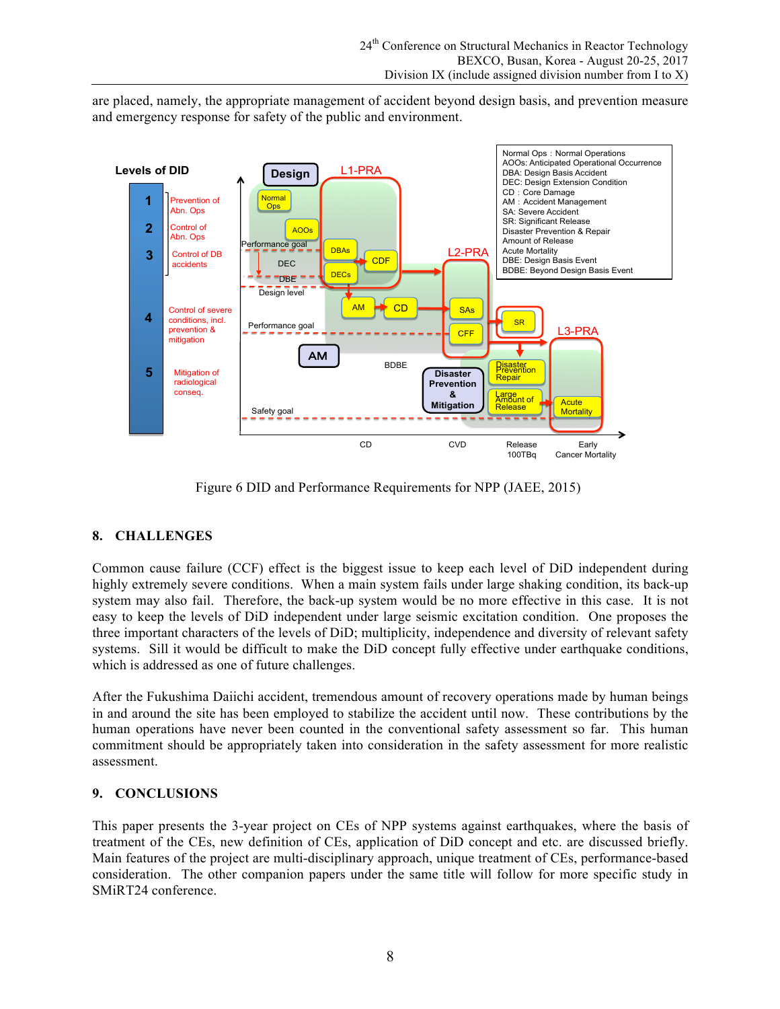are placed, namely, the appropriate management of accident beyond design basis, and prevention measure and emergency response for safety of the public and environment.



Figure 6 DID and Performance Requirements for NPP (JAEE, 2015)

## **8. CHALLENGES**

Common cause failure (CCF) effect is the biggest issue to keep each level of DiD independent during highly extremely severe conditions. When a main system fails under large shaking condition, its back-up system may also fail. Therefore, the back-up system would be no more effective in this case. It is not easy to keep the levels of DiD independent under large seismic excitation condition. One proposes the three important characters of the levels of DiD; multiplicity, independence and diversity of relevant safety systems. Sill it would be difficult to make the DiD concept fully effective under earthquake conditions, which is addressed as one of future challenges.

After the Fukushima Daiichi accident, tremendous amount of recovery operations made by human beings in and around the site has been employed to stabilize the accident until now. These contributions by the human operations have never been counted in the conventional safety assessment so far. This human commitment should be appropriately taken into consideration in the safety assessment for more realistic assessment.

#### **9. CONCLUSIONS**

This paper presents the 3-year project on CEs of NPP systems against earthquakes, where the basis of treatment of the CEs, new definition of CEs, application of DiD concept and etc. are discussed briefly. Main features of the project are multi-disciplinary approach, unique treatment of CEs, performance-based consideration. The other companion papers under the same title will follow for more specific study in SMiRT24 conference.